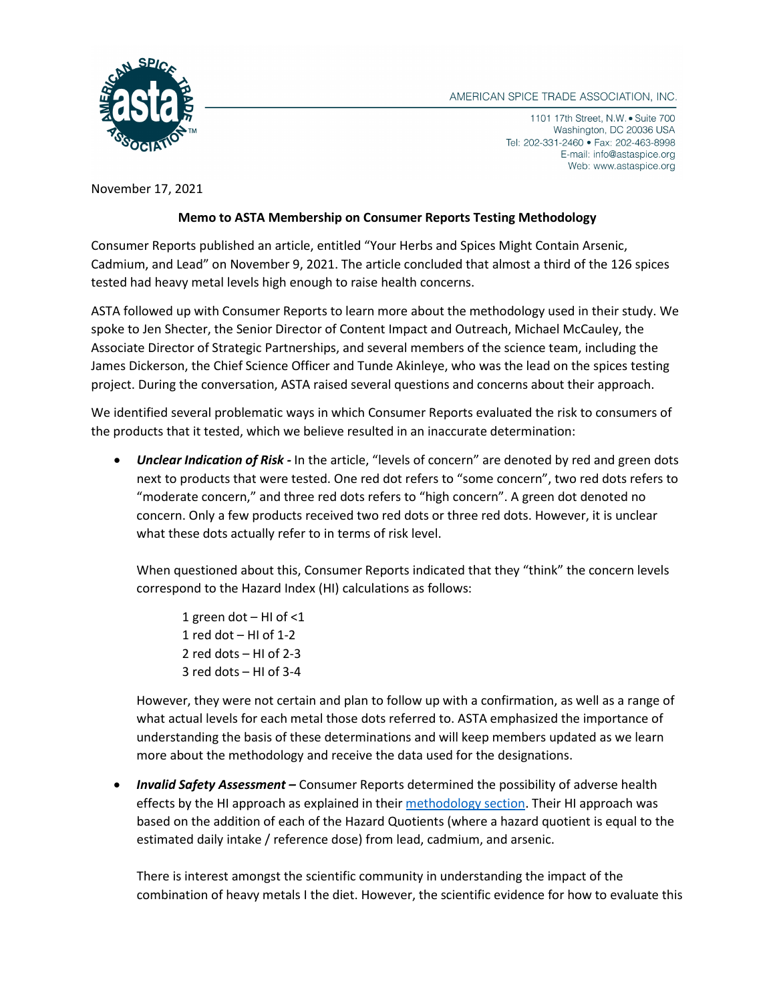

1101 17th Street, N.W. • Suite 700 Washington, DC 20036 USA Tel: 202-331-2460 • Fax: 202-463-8998 E-mail: info@astaspice.org Web: www.astaspice.org

November 17, 2021

## **Memo to ASTA Membership on Consumer Reports Testing Methodology**

Consumer Reports published an article, entitled "Your Herbs and Spices Might Contain Arsenic, Cadmium, and Lead" on November 9, 2021. The article concluded that almost a third of the 126 spices tested had heavy metal levels high enough to raise health concerns.

ASTA followed up with Consumer Reports to learn more about the methodology used in their study. We spoke to Jen Shecter, the Senior Director of Content Impact and Outreach, Michael McCauley, the Associate Director of Strategic Partnerships, and several members of the science team, including the James Dickerson, the Chief Science Officer and Tunde Akinleye, who was the lead on the spices testing project. During the conversation, ASTA raised several questions and concerns about their approach.

We identified several problematic ways in which Consumer Reports evaluated the risk to consumers of the products that it tested, which we believe resulted in an inaccurate determination:

• *Unclear Indication of Risk -* In the article, "levels of concern" are denoted by red and green dots next to products that were tested. One red dot refers to "some concern", two red dots refers to "moderate concern," and three red dots refers to "high concern". A green dot denoted no concern. Only a few products received two red dots or three red dots. However, it is unclear what these dots actually refer to in terms of risk level.

When questioned about this, Consumer Reports indicated that they "think" the concern levels correspond to the Hazard Index (HI) calculations as follows:

1 green dot – HI of <1 1 red dot  $-$  HI of 1-2 2 red dots – HI of 2-3 3 red dots – HI of 3-4

However, they were not certain and plan to follow up with a confirmation, as well as a range of what actual levels for each metal those dots referred to. ASTA emphasized the importance of understanding the basis of these determinations and will keep members updated as we learn more about the methodology and receive the data used for the designations.

• *Invalid Safety Assessment –* Consumer Reports determined the possibility of adverse health effects by the HI approach as explained in their [methodology section.](https://article.images.consumerreports.org/prod/content/dam/surveys/Consumer_Reports_Test_Methodology_for_Herbs_Spices_November_2021) Their HI approach was based on the addition of each of the Hazard Quotients (where a hazard quotient is equal to the estimated daily intake / reference dose) from lead, cadmium, and arsenic.

There is interest amongst the scientific community in understanding the impact of the combination of heavy metals I the diet. However, the scientific evidence for how to evaluate this